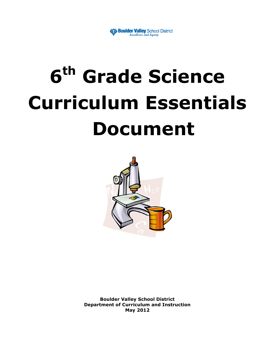

# **6 th Grade Science Curriculum Essentials Document**



**Boulder Valley School District Department of Curriculum and Instruction May 2012**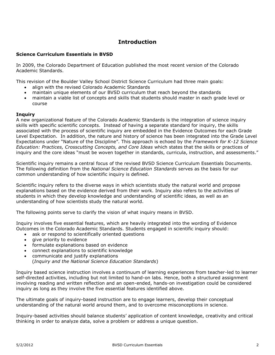## **Introduction**

#### **Science Curriculum Essentials in BVSD**

In 2009, the Colorado Department of Education published the most recent version of the Colorado Academic Standards.

This revision of the Boulder Valley School District Science Curriculum had three main goals:

- align with the revised Colorado Academic Standards
- maintain unique elements of our BVSD curriculum that reach beyond the standards
- maintain a viable list of concepts and skills that students should master in each grade level or course

#### **Inquiry**

A new organizational feature of the Colorado Academic Standards is the integration of science inquiry skills with specific scientific concepts. Instead of having a separate standard for inquiry, the skills associated with the process of scientific inquiry are embedded in the Evidence Outcomes for each Grade Level Expectation. In addition, the nature and history of science has been integrated into the Grade Level Expectations under "Nature of the Discipline". This approach is echoed by the *Framework for K-12 Science Education: Practices, Crosscutting Concepts, and Core Ideas* which states that the skills or practices of inquiry and the core ideas "must be woven together in standards, curricula, instruction, and assessments."

Scientific inquiry remains a central focus of the revised BVSD Science Curriculum Essentials Documents. The following definition from the *National Science Education Standards* serves as the basis for our common understanding of how scientific inquiry is defined.

Scientific inquiry refers to the diverse ways in which scientists study the natural world and propose explanations based on the evidence derived from their work. Inquiry also refers to the activities of students in which they develop knowledge and understanding of scientific ideas, as well as an understanding of how scientists study the natural world.

The following points serve to clarify the vision of what inquiry means in BVSD.

Inquiry involves five essential features, which are heavily integrated into the wording of Evidence Outcomes in the Colorado Academic Standards. Students engaged in scientific inquiry should:

- ask or respond to scientifically oriented questions
- give priority to evidence
- formulate explanations based on evidence
- connect explanations to scientific knowledge
- communicate and justify explanations (*Inquiry and the National Science Education Standards*)

Inquiry based science instruction involves a continuum of learning experiences from teacher-led to learner self-directed activities, including but not limited to hand-on labs. Hence, both a structured assignment involving reading and written reflection and an open-ended, hands-on investigation could be considered inquiry as long as they involve the five essential features identified above.

The ultimate goals of inquiry-based instruction are to engage learners, develop their conceptual understanding of the natural world around them, and to overcome misconceptions in science.

Inquiry-based activities should balance students' application of content knowledge, creativity and critical thinking in order to analyze data, solve a problem or address a unique question.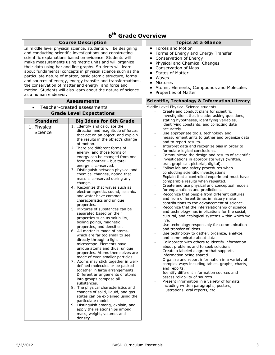## **6 th Grade Overview**

|                        | <b>Course Description</b>                                                                                                                                                                                                                                                                                                                                                                                                                                                                                                                                                                                                                                                                                                                                                                                                                                                                                                                                                                                                                                                                                                                                                                                                                                                                                                                                                                                                                 | <b>Topics at a Glance</b>                                                                                                                                                                                                                                                                                                                                                                                                                                                                                                                                                                                                                                                                                                                                                                                                                                                                                                                                                                                                                                                                                                                                                                                                                                                                                                                                                                                                                                                                                                                                                                                     |
|------------------------|-------------------------------------------------------------------------------------------------------------------------------------------------------------------------------------------------------------------------------------------------------------------------------------------------------------------------------------------------------------------------------------------------------------------------------------------------------------------------------------------------------------------------------------------------------------------------------------------------------------------------------------------------------------------------------------------------------------------------------------------------------------------------------------------------------------------------------------------------------------------------------------------------------------------------------------------------------------------------------------------------------------------------------------------------------------------------------------------------------------------------------------------------------------------------------------------------------------------------------------------------------------------------------------------------------------------------------------------------------------------------------------------------------------------------------------------|---------------------------------------------------------------------------------------------------------------------------------------------------------------------------------------------------------------------------------------------------------------------------------------------------------------------------------------------------------------------------------------------------------------------------------------------------------------------------------------------------------------------------------------------------------------------------------------------------------------------------------------------------------------------------------------------------------------------------------------------------------------------------------------------------------------------------------------------------------------------------------------------------------------------------------------------------------------------------------------------------------------------------------------------------------------------------------------------------------------------------------------------------------------------------------------------------------------------------------------------------------------------------------------------------------------------------------------------------------------------------------------------------------------------------------------------------------------------------------------------------------------------------------------------------------------------------------------------------------------|
| as a human endeavor.   | In middle level physical science, students will be designing<br>and conducting scientific investigations and constructing<br>scientific explanations based on evidence. Students will<br>make measurements using metric units and will organize<br>their data using bar and line graphs. Students will learn<br>about fundamental concepts in physical science such as the<br>particulate nature of matter, basic atomic structure, forms<br>and sources of energy, energy transfer and transformations,<br>the conservation of matter and energy, and force and<br>motion. Students will also learn about the nature of science                                                                                                                                                                                                                                                                                                                                                                                                                                                                                                                                                                                                                                                                                                                                                                                                          | Forces and Motion<br>Forms of Energy and Energy Transfer<br>Conservation of Energy<br>Physical and Chemical Changes<br><b>Conservation of Mass</b><br><b>States of Matter</b><br>Waves<br>Mixtures<br>Atoms, Elements, Compounds and Molecules<br>Properties of Matter                                                                                                                                                                                                                                                                                                                                                                                                                                                                                                                                                                                                                                                                                                                                                                                                                                                                                                                                                                                                                                                                                                                                                                                                                                                                                                                                        |
|                        | <b>Assessments</b>                                                                                                                                                                                                                                                                                                                                                                                                                                                                                                                                                                                                                                                                                                                                                                                                                                                                                                                                                                                                                                                                                                                                                                                                                                                                                                                                                                                                                        | <b>Scientific, Technology &amp; Information Literacy</b>                                                                                                                                                                                                                                                                                                                                                                                                                                                                                                                                                                                                                                                                                                                                                                                                                                                                                                                                                                                                                                                                                                                                                                                                                                                                                                                                                                                                                                                                                                                                                      |
|                        | Teacher-created assessments<br><b>Grade Level Expectations</b>                                                                                                                                                                                                                                                                                                                                                                                                                                                                                                                                                                                                                                                                                                                                                                                                                                                                                                                                                                                                                                                                                                                                                                                                                                                                                                                                                                            | Middle Level Physical Science students:<br>Create and conduct plans for scientific                                                                                                                                                                                                                                                                                                                                                                                                                                                                                                                                                                                                                                                                                                                                                                                                                                                                                                                                                                                                                                                                                                                                                                                                                                                                                                                                                                                                                                                                                                                            |
| <b>Standard</b>        | <b>Big Ideas for 6th Grade</b>                                                                                                                                                                                                                                                                                                                                                                                                                                                                                                                                                                                                                                                                                                                                                                                                                                                                                                                                                                                                                                                                                                                                                                                                                                                                                                                                                                                                            | investigations that include: asking questions,<br>stating hypotheses, identifying variables,<br>identifying constants, and collecting data                                                                                                                                                                                                                                                                                                                                                                                                                                                                                                                                                                                                                                                                                                                                                                                                                                                                                                                                                                                                                                                                                                                                                                                                                                                                                                                                                                                                                                                                    |
| 1. Physical<br>Science | 1. Identify and calculate the<br>direction and magnitude of forces<br>that act on an object, and explain<br>the results in the object's change<br>of motion.<br>2. There are different forms of<br>energy, and those forms of<br>energy can be changed from one<br>form to another - but total<br>energy is conserved.<br>3. Distinguish between physical and<br>chemical changes, noting that<br>mass is conserved during any<br>change.<br>4. Recognize that waves such as<br>electromagnetic, sound, seismic,<br>and water have common<br>characteristics and unique<br>properties.<br>5. Mixtures of substances can be<br>separated based on their<br>properties such as solubility,<br>boiling points, magnetic<br>properties, and densities.<br>6. All matter is made of atoms,<br>which are far too small to see<br>directly through a light<br>microscope. Elements have<br>unique atoms and thus, unique<br>properties. Atoms themselves are<br>made of even smaller particles.<br>7. Atoms may stick together in well-<br>defined molecules or be packed<br>together in large arrangements.<br>Different arrangements of atoms<br>into groups compose all<br>substances.<br>8. The physical characteristics and<br>changes of solid, liquid, and gas<br>states can be explained using the<br>particulate model.<br>9. Distinguish among, explain, and<br>apply the relationships among<br>mass, weight, volume, and<br>density. | accurately.<br>Use appropriate tools, technology and<br>measurement units to gather and organize data<br>and to report results.<br>Interpret data and recognize bias in order to<br>formulate logical conclusions.<br>Communicate the design and results of scientific<br>investigations in appropriate ways (written,<br>oral, graphical, pictorial, digital).<br>Follow lab and safety procedures when<br>conducting scientific investigations.<br>Explain that a controlled experiment must have<br>comparable results when repeated.<br>Create and use physical and conceptual models<br>for explanations and predictions.<br>Recognize that people from different cultures<br>and from different times in history make<br>contributions to the advancement of science.<br>Recognize that the interrelationship of science<br>and technology has implications for the social,<br>cultural, and ecological systems within which we<br>live.<br>Use technology responsibly for communication<br>and transfer of ideas.<br>Use technology to gather, organize, analyze,<br>and communicate about data.<br>Collaborate with others to identify information<br>about problems and to seek solutions.<br>Create a labeled diagram that supports<br>information being shared.<br>Organize and report information in a variety of<br>complex ways including tables, graphs, charts,<br>and reports.<br>Identify different information sources and<br>assess reliability of sources.<br>Present information in a variety of formats<br>including written paragraphs, posters,<br>illustrations, oral reports, etc. |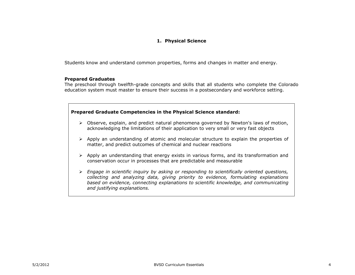#### **1. Physical Science**

Students know and understand common properties, forms and changes in matter and energy.

#### **Prepared Graduates**

The preschool through twelfth-grade concepts and skills that all students who complete the Colorado education system must master to ensure their success in a postsecondary and workforce setting.



- $\triangleright$  Observe, explain, and predict natural phenomena governed by Newton's laws of motion, acknowledging the limitations of their application to very small or very fast objects
- $\triangleright$  Apply an understanding of atomic and molecular structure to explain the properties of matter, and predict outcomes of chemical and nuclear reactions
- $\triangleright$  Apply an understanding that energy exists in various forms, and its transformation and conservation occur in processes that are predictable and measurable
- *Engage in scientific inquiry by asking or responding to scientifically oriented questions, collecting and analyzing data, giving priority to evidence, formulating explanations based on evidence, connecting explanations to scientific knowledge, and communicating and justifying explanations.*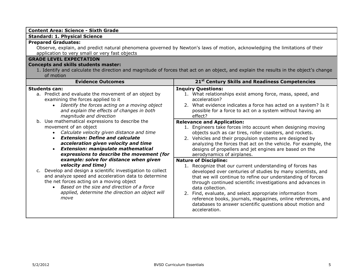| <b>Content Area: Science - Sixth Grade</b>                                                                                                                                                                                                                                                                                                                                                                                                                                                                                                                                                                                                                                                                                                                                                                                                                                                         |                                                                                                                                                                                                                                                                                                                                                                                                                                                                                                                                                                                                                                                                                                                                                                                                                                                                                                                                                                                                                                                                                                                                                                    |  |
|----------------------------------------------------------------------------------------------------------------------------------------------------------------------------------------------------------------------------------------------------------------------------------------------------------------------------------------------------------------------------------------------------------------------------------------------------------------------------------------------------------------------------------------------------------------------------------------------------------------------------------------------------------------------------------------------------------------------------------------------------------------------------------------------------------------------------------------------------------------------------------------------------|--------------------------------------------------------------------------------------------------------------------------------------------------------------------------------------------------------------------------------------------------------------------------------------------------------------------------------------------------------------------------------------------------------------------------------------------------------------------------------------------------------------------------------------------------------------------------------------------------------------------------------------------------------------------------------------------------------------------------------------------------------------------------------------------------------------------------------------------------------------------------------------------------------------------------------------------------------------------------------------------------------------------------------------------------------------------------------------------------------------------------------------------------------------------|--|
| <b>Standard: 1. Physical Science</b>                                                                                                                                                                                                                                                                                                                                                                                                                                                                                                                                                                                                                                                                                                                                                                                                                                                               |                                                                                                                                                                                                                                                                                                                                                                                                                                                                                                                                                                                                                                                                                                                                                                                                                                                                                                                                                                                                                                                                                                                                                                    |  |
| <b>Prepared Graduates:</b><br>Observe, explain, and predict natural phenomena governed by Newton's laws of motion, acknowledging the limitations of their<br>application to very small or very fast objects                                                                                                                                                                                                                                                                                                                                                                                                                                                                                                                                                                                                                                                                                        |                                                                                                                                                                                                                                                                                                                                                                                                                                                                                                                                                                                                                                                                                                                                                                                                                                                                                                                                                                                                                                                                                                                                                                    |  |
| <b>GRADE LEVEL EXPECTATION</b><br><b>Concepts and skills students master:</b><br>1. Identify and calculate the direction and magnitude of forces that act on an object, and explain the results in the object's change<br>of motion                                                                                                                                                                                                                                                                                                                                                                                                                                                                                                                                                                                                                                                                |                                                                                                                                                                                                                                                                                                                                                                                                                                                                                                                                                                                                                                                                                                                                                                                                                                                                                                                                                                                                                                                                                                                                                                    |  |
| <b>Evidence Outcomes</b>                                                                                                                                                                                                                                                                                                                                                                                                                                                                                                                                                                                                                                                                                                                                                                                                                                                                           | 21 <sup>st</sup> Century Skills and Readiness Competencies                                                                                                                                                                                                                                                                                                                                                                                                                                                                                                                                                                                                                                                                                                                                                                                                                                                                                                                                                                                                                                                                                                         |  |
| <b>Students can:</b><br>a. Predict and evaluate the movement of an object by<br>examining the forces applied to it<br>Identify the forces acting on a moving object<br>and explain the effects of changes in both<br>magnitude and direction<br>b. Use mathematical expressions to describe the<br>movement of an object<br>• Calculate velocity given distance and time<br><b>Extension: Define and calculate</b><br>acceleration given velocity and time<br><b>Extension: manipulate mathematical</b><br>expressions to describe the movement (for<br>example: solve for distance when given<br>velocity and time)<br>c. Develop and design a scientific investigation to collect<br>and analyze speed and acceleration data to determine<br>the net forces acting on a moving object<br>• Based on the size and direction of a force<br>applied, determine the direction an object will<br>move | <b>Inquiry Questions:</b><br>1. What relationships exist among force, mass, speed, and<br>acceleration?<br>2. What evidence indicates a force has acted on a system? Is it<br>possible for a force to act on a system without having an<br>effect?<br><b>Relevance and Application:</b><br>1. Engineers take forces into account when designing moving<br>objects such as car tires, roller coasters, and rockets.<br>2. Vehicles and their propulsion systems are designed by<br>analyzing the forces that act on the vehicle. For example, the<br>designs of propellers and jet engines are based on the<br>aerodynamics of airplanes.<br><b>Nature of Discipline:</b><br>1. Recognize that our current understanding of forces has<br>developed over centuries of studies by many scientists, and<br>that we will continue to refine our understanding of forces<br>through continued scientific investigations and advances in<br>data collection.<br>2. Find, evaluate, and select appropriate information from<br>reference books, journals, magazines, online references, and<br>databases to answer scientific questions about motion and<br>acceleration. |  |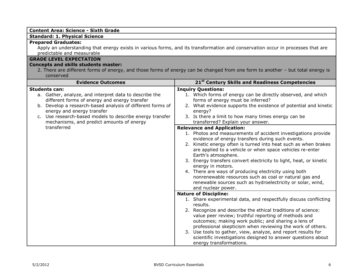#### **Content Area: Science - Sixth Grade**

#### **Standard: 1. Physical Science**

#### **Prepared Graduates:**

Apply an understanding that energy exists in various forms, and its transformation and conservation occur in processes that are predictable and measurable

#### **GRADE LEVEL EXPECTATION**

#### **Concepts and skills students master:**

2. There are different forms of energy, and those forms of energy can be changed from one form to another – but total energy is conserved

| <b>Evidence Outcomes</b>                                                                                                                                                                                                                                                                                                             | 21 <sup>st</sup> Century Skills and Readiness Competencies                                                                                                                                                                                                                                                                                                                                                                                                                                                                                                                                                     |  |
|--------------------------------------------------------------------------------------------------------------------------------------------------------------------------------------------------------------------------------------------------------------------------------------------------------------------------------------|----------------------------------------------------------------------------------------------------------------------------------------------------------------------------------------------------------------------------------------------------------------------------------------------------------------------------------------------------------------------------------------------------------------------------------------------------------------------------------------------------------------------------------------------------------------------------------------------------------------|--|
| <b>Students can:</b><br>a. Gather, analyze, and interpret data to describe the<br>different forms of energy and energy transfer<br>b. Develop a research-based analysis of different forms of<br>energy and energy transfer<br>c. Use research-based models to describe energy transfer<br>mechanisms, and predict amounts of energy | <b>Inquiry Questions:</b><br>1. Which forms of energy can be directly observed, and which<br>forms of energy must be inferred?<br>2. What evidence supports the existence of potential and kinetic<br>energy?<br>3. Is there a limit to how many times energy can be<br>transferred? Explain your answer.                                                                                                                                                                                                                                                                                                      |  |
| transferred                                                                                                                                                                                                                                                                                                                          | <b>Relevance and Application:</b><br>1. Photos and measurements of accident investigations provide<br>evidence of energy transfers during such events.<br>2. Kinetic energy often is turned into heat such as when brakes<br>are applied to a vehicle or when space vehicles re-enter<br>Earth's atmosphere.<br>3. Energy transfers convert electricity to light, heat, or kinetic<br>energy in motors.<br>4. There are ways of producing electricity using both<br>nonrenewable resources such as coal or natural gas and<br>renewable sources such as hydroelectricity or solar, wind,<br>and nuclear power. |  |
|                                                                                                                                                                                                                                                                                                                                      | <b>Nature of Discipline:</b><br>1. Share experimental data, and respectfully discuss conflicting<br>results.<br>2. Recognize and describe the ethical traditions of science:<br>value peer review; truthful reporting of methods and<br>outcomes; making work public; and sharing a lens of<br>professional skepticism when reviewing the work of others.<br>3. Use tools to gather, view, analyze, and report results for<br>scientific investigations designed to answer questions about<br>energy transformations.                                                                                          |  |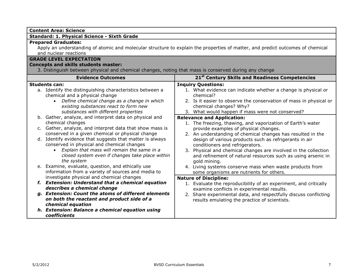| Standard: 1. Physical Science - Sixth Grade                                                                                                                                                                                                                                                                                                                                                                                                                                                                                                                                                                                                                                                                                                                                                                                                                                                                                                                                                                                                                                                            |  |
|--------------------------------------------------------------------------------------------------------------------------------------------------------------------------------------------------------------------------------------------------------------------------------------------------------------------------------------------------------------------------------------------------------------------------------------------------------------------------------------------------------------------------------------------------------------------------------------------------------------------------------------------------------------------------------------------------------------------------------------------------------------------------------------------------------------------------------------------------------------------------------------------------------------------------------------------------------------------------------------------------------------------------------------------------------------------------------------------------------|--|
| Apply an understanding of atomic and molecular structure to explain the properties of matter, and predict outcomes of chemical<br>3. Distinguish between physical and chemical changes, noting that mass is conserved during any change                                                                                                                                                                                                                                                                                                                                                                                                                                                                                                                                                                                                                                                                                                                                                                                                                                                                |  |
| 21 <sup>st</sup> Century Skills and Readiness Competencies                                                                                                                                                                                                                                                                                                                                                                                                                                                                                                                                                                                                                                                                                                                                                                                                                                                                                                                                                                                                                                             |  |
| <b>Inquiry Questions:</b><br>1. What evidence can indicate whether a change is physical or<br>chemical?<br>2. Is it easier to observe the conservation of mass in physical or<br>chemical changes? Why?<br>3. What would happen if mass were not conserved?<br><b>Relevance and Application:</b><br>1. The freezing, thawing, and vaporization of Earth's water<br>provide examples of physical changes.<br>2. An understanding of chemical changes has resulted in the<br>design of various products such as refrigerants in air<br>conditioners and refrigerators.<br>3. Physical and chemical changes are involved in the collection<br>and refinement of natural resources such as using arsenic in<br>gold mining.<br>4. Living systems conserve mass when waste products from<br>some organisms are nutrients for others.<br><b>Nature of Discipline:</b><br>1. Evaluate the reproducibility of an experiment, and critically<br>examine conflicts in experimental results.<br>2. Share experimental data, and respectfully discuss conflicting<br>results emulating the practice of scientists. |  |
|                                                                                                                                                                                                                                                                                                                                                                                                                                                                                                                                                                                                                                                                                                                                                                                                                                                                                                                                                                                                                                                                                                        |  |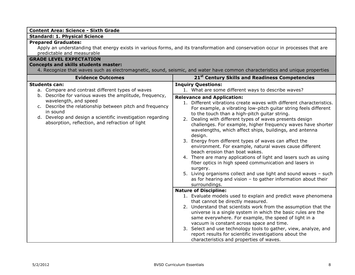| <b>Content Area: Science - Sixth Grade</b>                                                                                                                                                                                                                                |                                                                                                                                                                                                                                                                                                                                                                                                                                                                                                                                                                                                                                                                                                                                                                                                                                                                                                                                                                                                                                                                                                                                                                                                                                                                                                                                                                                                                                                    |
|---------------------------------------------------------------------------------------------------------------------------------------------------------------------------------------------------------------------------------------------------------------------------|----------------------------------------------------------------------------------------------------------------------------------------------------------------------------------------------------------------------------------------------------------------------------------------------------------------------------------------------------------------------------------------------------------------------------------------------------------------------------------------------------------------------------------------------------------------------------------------------------------------------------------------------------------------------------------------------------------------------------------------------------------------------------------------------------------------------------------------------------------------------------------------------------------------------------------------------------------------------------------------------------------------------------------------------------------------------------------------------------------------------------------------------------------------------------------------------------------------------------------------------------------------------------------------------------------------------------------------------------------------------------------------------------------------------------------------------------|
| <b>Standard: 1. Physical Science</b>                                                                                                                                                                                                                                      |                                                                                                                                                                                                                                                                                                                                                                                                                                                                                                                                                                                                                                                                                                                                                                                                                                                                                                                                                                                                                                                                                                                                                                                                                                                                                                                                                                                                                                                    |
| <b>Prepared Graduates:</b><br>Apply an understanding that energy exists in various forms, and its transformation and conservation occur in processes that are<br>predictable and measurable                                                                               |                                                                                                                                                                                                                                                                                                                                                                                                                                                                                                                                                                                                                                                                                                                                                                                                                                                                                                                                                                                                                                                                                                                                                                                                                                                                                                                                                                                                                                                    |
| <b>GRADE LEVEL EXPECTATION</b><br><b>Concepts and skills students master:</b>                                                                                                                                                                                             | 4. Recognize that waves such as electromagnetic, sound, seismic, and water have common characteristics and unique properties                                                                                                                                                                                                                                                                                                                                                                                                                                                                                                                                                                                                                                                                                                                                                                                                                                                                                                                                                                                                                                                                                                                                                                                                                                                                                                                       |
| <b>Evidence Outcomes</b>                                                                                                                                                                                                                                                  | 21 <sup>st</sup> Century Skills and Readiness Competencies                                                                                                                                                                                                                                                                                                                                                                                                                                                                                                                                                                                                                                                                                                                                                                                                                                                                                                                                                                                                                                                                                                                                                                                                                                                                                                                                                                                         |
| <b>Students can:</b><br>a. Compare and contrast different types of waves                                                                                                                                                                                                  | <b>Inquiry Questions:</b><br>1. What are some different ways to describe waves?                                                                                                                                                                                                                                                                                                                                                                                                                                                                                                                                                                                                                                                                                                                                                                                                                                                                                                                                                                                                                                                                                                                                                                                                                                                                                                                                                                    |
| b. Describe for various waves the amplitude, frequency,<br>wavelength, and speed<br>c. Describe the relationship between pitch and frequency<br>in sound<br>d. Develop and design a scientific investigation regarding<br>absorption, reflection, and refraction of light | <b>Relevance and Application:</b><br>1. Different vibrations create waves with different characteristics.<br>For example, a vibrating low-pitch guitar string feels different<br>to the touch than a high-pitch guitar string.<br>2. Dealing with different types of waves presents design<br>challenges. For example, higher frequency waves have shorter<br>wavelengths, which affect ships, buildings, and antenna<br>design.<br>3. Energy from different types of waves can affect the<br>environment. For example, natural waves cause different<br>beach erosion than boat wakes.<br>4. There are many applications of light and lasers such as using<br>fiber optics in high speed communication and lasers in<br>surgery.<br>5. Living organisms collect and use light and sound waves - such<br>as for hearing and vision $-$ to gather information about their<br>surroundings.<br><b>Nature of Discipline:</b><br>1. Evaluate models used to explain and predict wave phenomena<br>that cannot be directly measured.<br>2. Understand that scientists work from the assumption that the<br>universe is a single system in which the basic rules are the<br>same everywhere. For example, the speed of light in a<br>vacuum is constant across space and time.<br>3. Select and use technology tools to gather, view, analyze, and<br>report results for scientific investigations about the<br>characteristics and properties of waves. |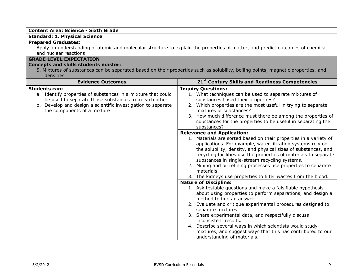| <b>Content Area: Science - Sixth Grade</b>                                                                                                                                                                                                  |                                                                                                                                                                                                                                                                                                                                                                                                                                                                                                                                                                                                                                                                                                                                                                                                                                                                                          |
|---------------------------------------------------------------------------------------------------------------------------------------------------------------------------------------------------------------------------------------------|------------------------------------------------------------------------------------------------------------------------------------------------------------------------------------------------------------------------------------------------------------------------------------------------------------------------------------------------------------------------------------------------------------------------------------------------------------------------------------------------------------------------------------------------------------------------------------------------------------------------------------------------------------------------------------------------------------------------------------------------------------------------------------------------------------------------------------------------------------------------------------------|
| <b>Standard: 1. Physical Science</b>                                                                                                                                                                                                        |                                                                                                                                                                                                                                                                                                                                                                                                                                                                                                                                                                                                                                                                                                                                                                                                                                                                                          |
| <b>Prepared Graduates:</b><br>Apply an understanding of atomic and molecular structure to explain the properties of matter, and predict outcomes of chemical<br>and nuclear reactions                                                       |                                                                                                                                                                                                                                                                                                                                                                                                                                                                                                                                                                                                                                                                                                                                                                                                                                                                                          |
| <b>GRADE LEVEL EXPECTATION</b>                                                                                                                                                                                                              |                                                                                                                                                                                                                                                                                                                                                                                                                                                                                                                                                                                                                                                                                                                                                                                                                                                                                          |
| <b>Concepts and skills students master:</b>                                                                                                                                                                                                 |                                                                                                                                                                                                                                                                                                                                                                                                                                                                                                                                                                                                                                                                                                                                                                                                                                                                                          |
| densities                                                                                                                                                                                                                                   | 5. Mixtures of substances can be separated based on their properties such as solubility, boiling points, magnetic properties, and                                                                                                                                                                                                                                                                                                                                                                                                                                                                                                                                                                                                                                                                                                                                                        |
| <b>Evidence Outcomes</b>                                                                                                                                                                                                                    | 21 <sup>st</sup> Century Skills and Readiness Competencies                                                                                                                                                                                                                                                                                                                                                                                                                                                                                                                                                                                                                                                                                                                                                                                                                               |
| <b>Students can:</b><br>a. Identify properties of substances in a mixture that could<br>be used to separate those substances from each other<br>b. Develop and design a scientific investigation to separate<br>the components of a mixture | <b>Inquiry Questions:</b><br>1. What techniques can be used to separate mixtures of<br>substances based their properties?<br>2. Which properties are the most useful in trying to separate<br>mixtures of substances?<br>3. How much difference must there be among the properties of<br>substances for the properties to be useful in separating the<br>substances?<br><b>Relevance and Application:</b><br>1. Materials are sorted based on their properties in a variety of<br>applications. For example, water filtration systems rely on<br>the solubility, density, and physical sizes of substances, and<br>recycling facilities use the properties of materials to separate<br>substances in single-stream recycling systems.<br>2. Mining and oil refining processes use properties to separate<br>materials.<br>3. The kidneys use properties to filter wastes from the blood. |
|                                                                                                                                                                                                                                             | <b>Nature of Discipline:</b>                                                                                                                                                                                                                                                                                                                                                                                                                                                                                                                                                                                                                                                                                                                                                                                                                                                             |
|                                                                                                                                                                                                                                             | 1. Ask testable questions and make a falsifiable hypothesis<br>about using properties to perform separations, and design a<br>method to find an answer.                                                                                                                                                                                                                                                                                                                                                                                                                                                                                                                                                                                                                                                                                                                                  |
|                                                                                                                                                                                                                                             | 2. Evaluate and critique experimental procedures designed to<br>separate mixtures.                                                                                                                                                                                                                                                                                                                                                                                                                                                                                                                                                                                                                                                                                                                                                                                                       |
|                                                                                                                                                                                                                                             | 3. Share experimental data, and respectfully discuss<br>inconsistent results.                                                                                                                                                                                                                                                                                                                                                                                                                                                                                                                                                                                                                                                                                                                                                                                                            |
|                                                                                                                                                                                                                                             | 4. Describe several ways in which scientists would study<br>mixtures, and suggest ways that this has contributed to our<br>understanding of materials.                                                                                                                                                                                                                                                                                                                                                                                                                                                                                                                                                                                                                                                                                                                                   |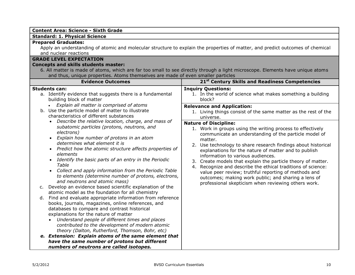#### **Content Area: Science - Sixth Grade**

#### **Standard: 1. Physical Science**

#### **Prepared Graduates:**

Apply an understanding of atomic and molecular structure to explain the properties of matter, and predict outcomes of chemical and nuclear reactions

#### **GRADE LEVEL EXPECTATION**

#### **Concepts and skills students master:**

6. All matter is made of atoms, which are far too small to see directly through a light microscope. Elements have unique atoms and thus, unique properties. Atoms themselves are made of even smaller particles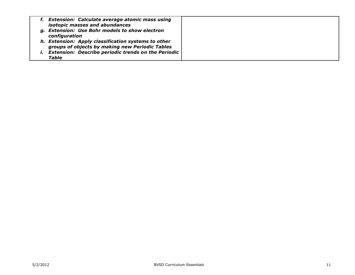| f. Extension: Calculate average atomic mass using<br>isotopic masses and abundances                           |  |
|---------------------------------------------------------------------------------------------------------------|--|
| g. Extension: Use Bohr models to show electron<br>configuration                                               |  |
| h. Extension: Apply classification systems to other                                                           |  |
| groups of objects by making new Periodic Tables<br><b>Extension: Describe periodic trends on the Periodic</b> |  |
| <b>Table</b>                                                                                                  |  |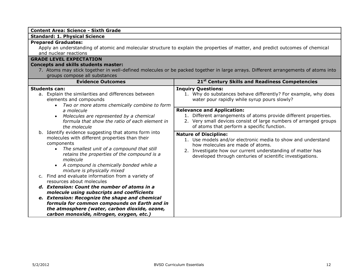| <b>Content Area: Science - Sixth Grade</b>                                                                                                                                                                                                                                                                                                                                   |                                                                                                                                                                                                                                                             |  |
|------------------------------------------------------------------------------------------------------------------------------------------------------------------------------------------------------------------------------------------------------------------------------------------------------------------------------------------------------------------------------|-------------------------------------------------------------------------------------------------------------------------------------------------------------------------------------------------------------------------------------------------------------|--|
| <b>Standard: 1. Physical Science</b>                                                                                                                                                                                                                                                                                                                                         |                                                                                                                                                                                                                                                             |  |
| <b>Prepared Graduates:</b><br>Apply an understanding of atomic and molecular structure to explain the properties of matter, and predict outcomes of chemical<br>and nuclear reactions                                                                                                                                                                                        |                                                                                                                                                                                                                                                             |  |
| <b>GRADE LEVEL EXPECTATION</b>                                                                                                                                                                                                                                                                                                                                               |                                                                                                                                                                                                                                                             |  |
| <b>Concepts and skills students master:</b>                                                                                                                                                                                                                                                                                                                                  |                                                                                                                                                                                                                                                             |  |
| 7. Atoms may stick together in well-defined molecules or be packed together in large arrays. Different arrangements of atoms into                                                                                                                                                                                                                                            |                                                                                                                                                                                                                                                             |  |
| groups compose all substances<br><b>Evidence Outcomes</b>                                                                                                                                                                                                                                                                                                                    | 21 <sup>st</sup> Century Skills and Readiness Competencies                                                                                                                                                                                                  |  |
|                                                                                                                                                                                                                                                                                                                                                                              |                                                                                                                                                                                                                                                             |  |
| <b>Students can:</b><br>a. Explain the similarities and differences between<br>elements and compounds<br>Two or more atoms chemically combine to form<br>a molecule<br>Molecules are represented by a chemical<br>$\bullet$<br>formula that show the ratio of each element in<br>the molecule                                                                                | <b>Inquiry Questions:</b><br>1. Why do substances behave differently? For example, why does<br>water pour rapidly while syrup pours slowly?                                                                                                                 |  |
|                                                                                                                                                                                                                                                                                                                                                                              | <b>Relevance and Application:</b><br>1. Different arrangements of atoms provide different properties.<br>2. Very small devices consist of large numbers of arranged groups<br>of atoms that perform a specific function.                                    |  |
| b. Identify evidence suggesting that atoms form into<br>molecules with different properties than their<br>components<br>The smallest unit of a compound that still<br>$\bullet$<br>retains the properties of the compound is a<br>molecule<br>A compound is chemically bonded while a<br>mixture is physically mixed                                                         | <b>Nature of Discipline:</b><br>1. Use models and/or electronic media to show and understand<br>how molecules are made of atoms.<br>2. Investigate how our current understanding of matter has<br>developed through centuries of scientific investigations. |  |
| c. Find and evaluate information from a variety of<br>resources about molecules<br>d. Extension: Count the number of atoms in a<br>molecule using subscripts and coefficients<br>e. Extension: Recognize the shape and chemical<br>formula for common compounds on Earth and in<br>the atmosphere (water, carbon dioxide, ozone,<br>carbon monoxide, nitrogen, oxygen, etc.) |                                                                                                                                                                                                                                                             |  |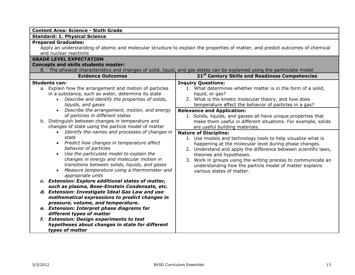| <b>Content Area: Science - Sixth Grade</b>                                                                                                                                                                                                                                                                                                                                                                                                                                                                                                                                                                                                                                                                                                                                                                                                                                                                                                                                                                                                                                                                                                                                                                                     |                                                                                                                                                                                                                                                                                                                                                                                                                                                                                                                                                                                                                                                                                                                                                                                                                                                             |
|--------------------------------------------------------------------------------------------------------------------------------------------------------------------------------------------------------------------------------------------------------------------------------------------------------------------------------------------------------------------------------------------------------------------------------------------------------------------------------------------------------------------------------------------------------------------------------------------------------------------------------------------------------------------------------------------------------------------------------------------------------------------------------------------------------------------------------------------------------------------------------------------------------------------------------------------------------------------------------------------------------------------------------------------------------------------------------------------------------------------------------------------------------------------------------------------------------------------------------|-------------------------------------------------------------------------------------------------------------------------------------------------------------------------------------------------------------------------------------------------------------------------------------------------------------------------------------------------------------------------------------------------------------------------------------------------------------------------------------------------------------------------------------------------------------------------------------------------------------------------------------------------------------------------------------------------------------------------------------------------------------------------------------------------------------------------------------------------------------|
| <b>Standard: 1. Physical Science</b>                                                                                                                                                                                                                                                                                                                                                                                                                                                                                                                                                                                                                                                                                                                                                                                                                                                                                                                                                                                                                                                                                                                                                                                           |                                                                                                                                                                                                                                                                                                                                                                                                                                                                                                                                                                                                                                                                                                                                                                                                                                                             |
| <b>Prepared Graduates:</b><br>Apply an understanding of atomic and molecular structure to explain the properties of matter, and predict outcomes of chemical<br>and nuclear reactions<br><b>GRADE LEVEL EXPECTATION</b><br><b>Concepts and skills students master:</b><br>8. The physical characteristics and changes of solid, liquid, and gas states can be explained using the particulate model                                                                                                                                                                                                                                                                                                                                                                                                                                                                                                                                                                                                                                                                                                                                                                                                                            |                                                                                                                                                                                                                                                                                                                                                                                                                                                                                                                                                                                                                                                                                                                                                                                                                                                             |
| <b>Evidence Outcomes</b>                                                                                                                                                                                                                                                                                                                                                                                                                                                                                                                                                                                                                                                                                                                                                                                                                                                                                                                                                                                                                                                                                                                                                                                                       | 21 <sup>st</sup> Century Skills and Readiness Competencies                                                                                                                                                                                                                                                                                                                                                                                                                                                                                                                                                                                                                                                                                                                                                                                                  |
| <b>Students can:</b><br>a. Explain how the arrangement and motion of particles<br>in a substance, such as water, determine its state<br>Describe and identify the properties of solids,<br>liquids, and gases<br>• Describe the arrangement, motion, and energy<br>of particles in different states<br>b. Distinguish between changes in temperature and<br>changes of state using the particle model of matter<br>Identify the names and processes of changes in<br>$\bullet$<br>state<br>• Predict how changes in temperature affect<br>behavior of particles<br>Use the particulate model to explain the<br>changes in energy and molecular motion in<br>transitions between solids, liquids, and gases<br>Measure temperature using a thermometer and<br>appropriate units<br>c. Extension: Explore additional states of matter,<br>such as plasma, Bose-Einstein Condensate, etc.<br>d. Extension: Investigate Ideal Gas Law and use<br>mathematical expressions to predict changes in<br>pressure, volume, and temperature.<br>e. Extension: Interpret phase diagrams for<br>different types of matter<br>f. Extension: Design experiments to test<br>hypotheses about changes in state for different<br>types of matter | <b>Inquiry Questions:</b><br>1. What determines whether matter is in the form of a solid,<br>liquid, or gas?<br>2. What is the kinetic molecular theory, and how does<br>temperature affect the behavior of particles in a gas?<br><b>Relevance and Application:</b><br>1. Solids, liquids, and gasses all have unique properties that<br>make them useful in different situations. For example, solids<br>are useful building materials.<br><b>Nature of Discipline:</b><br>1. Use models and technology tools to help visualize what is<br>happening at the molecular level during phase changes.<br>2. Understand and apply the difference between scientific laws,<br>theories and hypotheses.<br>3. Work in groups using the writing process to communicate an<br>understanding how the particle model of matter explains<br>various states of matter. |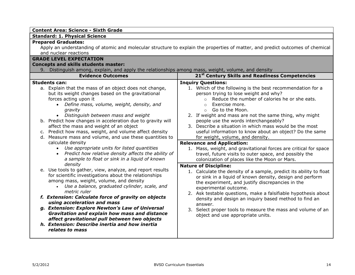| Apply an understanding of atomic and molecular structure to explain the properties of matter, and predict outcomes of chemical<br>9. Distinguish among, explain, and apply the relationships among mass, weight, volume, and density<br>21st Century Skills and Readiness Competencies                                                                                                                                                                                                                                                                                                                                                                                                                                                                                                                                                                                                                                                                                                                                                                                                                                                                                                                                               |
|--------------------------------------------------------------------------------------------------------------------------------------------------------------------------------------------------------------------------------------------------------------------------------------------------------------------------------------------------------------------------------------------------------------------------------------------------------------------------------------------------------------------------------------------------------------------------------------------------------------------------------------------------------------------------------------------------------------------------------------------------------------------------------------------------------------------------------------------------------------------------------------------------------------------------------------------------------------------------------------------------------------------------------------------------------------------------------------------------------------------------------------------------------------------------------------------------------------------------------------|
|                                                                                                                                                                                                                                                                                                                                                                                                                                                                                                                                                                                                                                                                                                                                                                                                                                                                                                                                                                                                                                                                                                                                                                                                                                      |
|                                                                                                                                                                                                                                                                                                                                                                                                                                                                                                                                                                                                                                                                                                                                                                                                                                                                                                                                                                                                                                                                                                                                                                                                                                      |
|                                                                                                                                                                                                                                                                                                                                                                                                                                                                                                                                                                                                                                                                                                                                                                                                                                                                                                                                                                                                                                                                                                                                                                                                                                      |
|                                                                                                                                                                                                                                                                                                                                                                                                                                                                                                                                                                                                                                                                                                                                                                                                                                                                                                                                                                                                                                                                                                                                                                                                                                      |
|                                                                                                                                                                                                                                                                                                                                                                                                                                                                                                                                                                                                                                                                                                                                                                                                                                                                                                                                                                                                                                                                                                                                                                                                                                      |
|                                                                                                                                                                                                                                                                                                                                                                                                                                                                                                                                                                                                                                                                                                                                                                                                                                                                                                                                                                                                                                                                                                                                                                                                                                      |
|                                                                                                                                                                                                                                                                                                                                                                                                                                                                                                                                                                                                                                                                                                                                                                                                                                                                                                                                                                                                                                                                                                                                                                                                                                      |
| <b>Inquiry Questions:</b><br>1. Which of the following is the best recommendation for a<br>person trying to lose weight and why?<br>Reduce the number of calories he or she eats.<br>$\Omega$<br>Exercise more.<br>$\Omega$<br>Go to the Moon.<br>$\circ$<br>2. If weight and mass are not the same thing, why might<br>people use the words interchangeably?<br>3. Describe a situation in which mass would be the most<br>useful information to know about an object? Do the same<br>for weight, volume, and density.<br><b>Relevance and Application:</b><br>1. Mass, weight, and gravitational forces are critical for space<br>travel, future visits to outer space, and possibly the<br>colonization of places like the Moon or Mars.<br><b>Nature of Discipline:</b><br>1. Calculate the density of a sample, predict its ability to float<br>or sink in a liquid of known density, design and perform<br>the experiment, and justify discrepancies in the<br>experimental outcome.<br>2. Ask testable questions, make a falsifiable hypothesis about<br>density and design an inquiry based method to find an<br>answer.<br>3. Select proper tools to measure the mass and volume of an<br>object and use appropriate units. |
|                                                                                                                                                                                                                                                                                                                                                                                                                                                                                                                                                                                                                                                                                                                                                                                                                                                                                                                                                                                                                                                                                                                                                                                                                                      |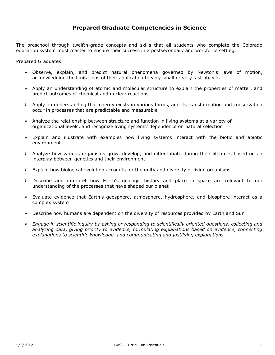### **Prepared Graduate Competencies in Science**

The preschool through twelfth-grade concepts and skills that all students who complete the Colorado education system must master to ensure their success in a postsecondary and workforce setting.

Prepared Graduates:

- Observe, explain, and predict natural phenomena governed by Newton's laws of motion, acknowledging the limitations of their application to very small or very fast objects
- $\triangleright$  Apply an understanding of atomic and molecular structure to explain the properties of matter, and predict outcomes of chemical and nuclear reactions
- $\triangleright$  Apply an understanding that energy exists in various forms, and its transformation and conservation occur in processes that are predictable and measurable
- $\triangleright$  Analyze the relationship between structure and function in living systems at a variety of organizational levels, and recognize living systems' dependence on natural selection
- $\triangleright$  Explain and illustrate with examples how living systems interact with the biotic and abiotic environment
- $\triangleright$  Analyze how various organisms grow, develop, and differentiate during their lifetimes based on an interplay between genetics and their environment
- $\triangleright$  Explain how biological evolution accounts for the unity and diversity of living organisms
- Describe and interpret how Earth's geologic history and place in space are relevant to our understanding of the processes that have shaped our planet
- Evaluate evidence that Earth's geosphere, atmosphere, hydrosphere, and biosphere interact as a complex system
- $\triangleright$  Describe how humans are dependent on the diversity of resources provided by Earth and Sun
- *Engage in scientific inquiry by asking or responding to scientifically oriented questions, collecting and analyzing data, giving priority to evidence, formulating explanations based on evidence, connecting explanations to scientific knowledge, and communicating and justifying explanations.*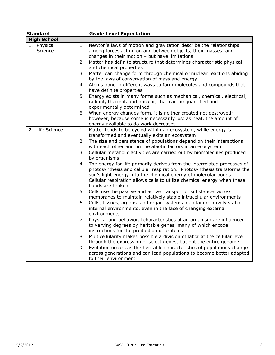| <b>Standard</b>        | <b>Grade Level Expectation</b>                                                                                                                                                                                                                                                                                              |
|------------------------|-----------------------------------------------------------------------------------------------------------------------------------------------------------------------------------------------------------------------------------------------------------------------------------------------------------------------------|
| <b>High School</b>     |                                                                                                                                                                                                                                                                                                                             |
| 1. Physical<br>Science | Newton's laws of motion and gravitation describe the relationships<br>1.<br>among forces acting on and between objects, their masses, and<br>changes in their motion - but have limitations                                                                                                                                 |
|                        | Matter has definite structure that determines characteristic physical<br>2.<br>and chemical properties                                                                                                                                                                                                                      |
|                        | Matter can change form through chemical or nuclear reactions abiding<br>3.<br>by the laws of conservation of mass and energy                                                                                                                                                                                                |
|                        | Atoms bond in different ways to form molecules and compounds that<br>4.<br>have definite properties                                                                                                                                                                                                                         |
|                        | Energy exists in many forms such as mechanical, chemical, electrical,<br>5.<br>radiant, thermal, and nuclear, that can be quantified and<br>experimentally determined                                                                                                                                                       |
|                        | When energy changes form, it is neither created not destroyed;<br>6.<br>however, because some is necessarily lost as heat, the amount of<br>energy available to do work decreases                                                                                                                                           |
| 2. Life Science        | Matter tends to be cycled within an ecosystem, while energy is<br>1.<br>transformed and eventually exits an ecosystem                                                                                                                                                                                                       |
|                        | The size and persistence of populations depend on their interactions<br>2.<br>with each other and on the abiotic factors in an ecosystem                                                                                                                                                                                    |
|                        | Cellular metabolic activities are carried out by biomolecules produced<br>3.<br>by organisms                                                                                                                                                                                                                                |
|                        | The energy for life primarily derives from the interrelated processes of<br>4.<br>photosynthesis and cellular respiration. Photosynthesis transforms the<br>sun's light energy into the chemical energy of molecular bonds.<br>Cellular respiration allows cells to utilize chemical energy when these<br>bonds are broken. |
|                        | 5. Cells use the passive and active transport of substances across<br>membranes to maintain relatively stable intracellular environments                                                                                                                                                                                    |
|                        | Cells, tissues, organs, and organ systems maintain relatively stable<br>6.<br>internal environments, even in the face of changing external<br>environments                                                                                                                                                                  |
|                        | Physical and behavioral characteristics of an organism are influenced<br>7.<br>to varying degrees by heritable genes, many of which encode<br>instructions for the production of proteins                                                                                                                                   |
|                        | Multicellularity makes possible a division of labor at the cellular level<br>8.<br>through the expression of select genes, but not the entire genome                                                                                                                                                                        |
|                        | Evolution occurs as the heritable characteristics of populations change<br>9.<br>across generations and can lead populations to become better adapted<br>to their environment                                                                                                                                               |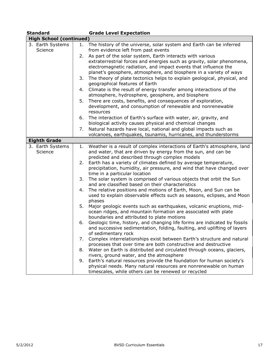|  | <b>Standard</b>                |    | <b>Grade Level Expectation</b>                                                                                                              |
|--|--------------------------------|----|---------------------------------------------------------------------------------------------------------------------------------------------|
|  | <b>High School (continued)</b> |    |                                                                                                                                             |
|  | 3. Earth Systems               | 1. | The history of the universe, solar system and Earth can be inferred                                                                         |
|  | Science                        |    | from evidence left from past events                                                                                                         |
|  |                                | 2. | As part of the solar system, Earth interacts with various                                                                                   |
|  |                                |    | extraterrestrial forces and energies such as gravity, solar phenomena,                                                                      |
|  |                                |    | electromagnetic radiation, and impact events that influence the                                                                             |
|  |                                |    | planet's geosphere, atmosphere, and biosphere in a variety of ways                                                                          |
|  |                                | 3. | The theory of plate tectonics helps to explain geological, physical, and                                                                    |
|  |                                |    | geographical features of Earth                                                                                                              |
|  |                                |    | 4. Climate is the result of energy transfer among interactions of the                                                                       |
|  |                                |    | atmosphere, hydrosphere, geosphere, and biosphere                                                                                           |
|  |                                | 5. | There are costs, benefits, and consequences of exploration,                                                                                 |
|  |                                |    | development, and consumption of renewable and nonrenewable                                                                                  |
|  |                                |    | resources                                                                                                                                   |
|  |                                | 6. | The interaction of Earth's surface with water, air, gravity, and                                                                            |
|  |                                |    | biological activity causes physical and chemical changes                                                                                    |
|  |                                | 7. | Natural hazards have local, national and global impacts such as                                                                             |
|  |                                |    | volcanoes, earthquakes, tsunamis, hurricanes, and thunderstorms                                                                             |
|  | <b>Eighth Grade</b>            |    |                                                                                                                                             |
|  | 3. Earth Systems               | 1. | Weather is a result of complex interactions of Earth's atmosphere, land                                                                     |
|  | Science                        |    | and water, that are driven by energy from the sun, and can be                                                                               |
|  |                                |    | predicted and described through complex models                                                                                              |
|  |                                | 2. | Earth has a variety of climates defined by average temperature,                                                                             |
|  |                                |    | precipitation, humidity, air pressure, and wind that have changed over                                                                      |
|  |                                |    | time in a particular location                                                                                                               |
|  |                                | 3. | The solar system is comprised of various objects that orbit the Sun                                                                         |
|  |                                |    | and are classified based on their characteristics                                                                                           |
|  |                                | 4. | The relative positions and motions of Earth, Moon, and Sun can be<br>used to explain observable effects such as seasons, eclipses, and Moon |
|  |                                |    | phases                                                                                                                                      |
|  |                                | 5. | Major geologic events such as earthquakes, volcanic eruptions, mid-                                                                         |
|  |                                |    | ocean ridges, and mountain formation are associated with plate                                                                              |
|  |                                |    | boundaries and attributed to plate motions                                                                                                  |
|  |                                | 6. | Geologic time, history, and changing life forms are indicated by fossils                                                                    |
|  |                                |    | and successive sedimentation, folding, faulting, and uplifting of layers                                                                    |
|  |                                |    | of sedimentary rock                                                                                                                         |
|  |                                | 7. | Complex interrelationships exist between Earth's structure and natural                                                                      |
|  |                                |    | processes that over time are both constructive and destructive                                                                              |
|  |                                | 8. | Water on Earth is distributed and circulated through oceans, glaciers,                                                                      |
|  |                                |    | rivers, ground water, and the atmosphere                                                                                                    |
|  |                                | 9. | Earth's natural resources provide the foundation for human society's                                                                        |
|  |                                |    | physical needs. Many natural resources are nonrenewable on human                                                                            |
|  |                                |    | timescales, while others can be renewed or recycled                                                                                         |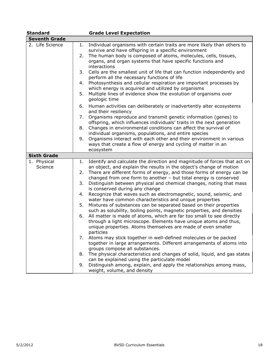| <b>Standard</b>      |    | <b>Grade Level Expectation</b>                                                                                                  |
|----------------------|----|---------------------------------------------------------------------------------------------------------------------------------|
| <b>Seventh Grade</b> |    |                                                                                                                                 |
| 2. Life Science      | 1. | Individual organisms with certain traits are more likely than others to<br>survive and have offspring in a specific environment |
|                      | 2. | The human body is composed of atoms, molecules, cells, tissues,                                                                 |
|                      |    | organs, and organ systems that have specific functions and                                                                      |
|                      |    | interactions                                                                                                                    |
|                      | 3. | Cells are the smallest unit of life that can function independently and                                                         |
|                      |    | perform all the necessary functions of life                                                                                     |
|                      | 4. | Photosynthesis and cellular respiration are important processes by                                                              |
|                      |    | which energy is acquired and utilized by organisms                                                                              |
|                      | 5. | Multiple lines of evidence show the evolution of organisms over                                                                 |
|                      |    | geologic time                                                                                                                   |
|                      | 6. | Human activities can deliberately or inadvertently alter ecosystems                                                             |
|                      |    | and their resiliency                                                                                                            |
|                      | 7. | Organisms reproduce and transmit genetic information (genes) to                                                                 |
|                      |    | offspring, which influences individuals' traits in the next generation                                                          |
| 8.                   |    | Changes in environmental conditions can affect the survival of                                                                  |
|                      |    | individual organisms, populations, and entire species                                                                           |
|                      | 9. | Organisms interact with each other and their environment in various                                                             |
|                      |    | ways that create a flow of energy and cycling of matter in an                                                                   |
|                      |    | ecosystem                                                                                                                       |
| <b>Sixth Grade</b>   |    |                                                                                                                                 |
| 1. Physical          | 1. | Identify and calculate the direction and magnitude of forces that act on                                                        |
| Science              |    | an object, and explain the results in the object's change of motion                                                             |
|                      | 2. | There are different forms of energy, and those forms of energy can be                                                           |
|                      |    | changed from one form to another - but total energy is conserved                                                                |
|                      | 3. | Distinguish between physical and chemical changes, noting that mass                                                             |
|                      |    | is conserved during any change                                                                                                  |
|                      | 4. | Recognize that waves such as electromagnetic, sound, seismic, and                                                               |
|                      |    | water have common characteristics and unique properties                                                                         |
|                      | 5. | Mixtures of substances can be separated based on their properties                                                               |
|                      |    | such as solubility, boiling points, magnetic properties, and densities                                                          |
|                      | 6. | All matter is made of atoms, which are far too small to see directly                                                            |
|                      |    | through a light microscope. Elements have unique atoms and thus,                                                                |
|                      |    | unique properties. Atoms themselves are made of even smaller                                                                    |
|                      |    | particles                                                                                                                       |
|                      | 7. | Atoms may stick together in well-defined molecules or be packed                                                                 |
|                      |    | together in large arrangements. Different arrangements of atoms into                                                            |
|                      |    | groups compose all substances.                                                                                                  |
|                      | 8. | The physical characteristics and changes of solid, liquid, and gas states                                                       |
|                      |    | can be explained using the particulate model                                                                                    |
|                      | 9. | Distinguish among, explain, and apply the relationships among mass,                                                             |
|                      |    | weight, volume, and density                                                                                                     |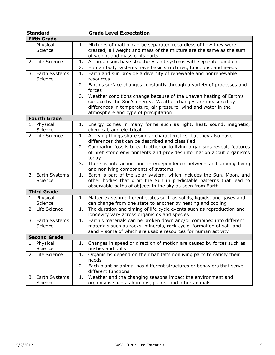| <b>Standard</b>             |          | <b>Grade Level Expectation</b>                                                                                                                                                                                                                |  |  |  |
|-----------------------------|----------|-----------------------------------------------------------------------------------------------------------------------------------------------------------------------------------------------------------------------------------------------|--|--|--|
| <b>Fifth Grade</b>          |          |                                                                                                                                                                                                                                               |  |  |  |
| 1. Physical<br>Science      | 1.       | Mixtures of matter can be separated regardless of how they were<br>created; all weight and mass of the mixture are the same as the sum<br>of weight and mass of its parts                                                                     |  |  |  |
| 2. Life Science             | 1.<br>2. | All organisms have structures and systems with separate functions<br>Human body systems have basic structures, functions, and needs                                                                                                           |  |  |  |
| 3. Earth Systems<br>Science | 1.<br>2. | Earth and sun provide a diversity of renewable and nonrenewable<br>resources<br>Earth's surface changes constantly through a variety of processes and                                                                                         |  |  |  |
|                             |          | forces                                                                                                                                                                                                                                        |  |  |  |
|                             | 3.       | Weather conditions change because of the uneven heating of Earth's<br>surface by the Sun's energy. Weather changes are measured by<br>differences in temperature, air pressure, wind and water in the<br>atmosphere and type of precipitation |  |  |  |
| <b>Fourth Grade</b>         |          |                                                                                                                                                                                                                                               |  |  |  |
| 1. Physical<br>Science      | 1.       | Energy comes in many forms such as light, heat, sound, magnetic,<br>chemical, and electrical                                                                                                                                                  |  |  |  |
| 2. Life Science             | 1.       | All living things share similar characteristics, but they also have<br>differences that can be described and classified                                                                                                                       |  |  |  |
|                             | 2.       | Comparing fossils to each other or to living organisms reveals features<br>of prehistoric environments and provides information about organisms<br>today                                                                                      |  |  |  |
|                             | 3.       | There is interaction and interdependence between and among living<br>and nonliving components of systems                                                                                                                                      |  |  |  |
| 3. Earth Systems<br>Science | 1.       | Earth is part of the solar system, which includes the Sun, Moon, and<br>other bodies that orbit the Sun in predictable patterns that lead to<br>observable paths of objects in the sky as seen from Earth                                     |  |  |  |
| <b>Third Grade</b>          |          |                                                                                                                                                                                                                                               |  |  |  |
| 1. Physical<br>Science      | 1.       | Matter exists in different states such as solids, liquids, and gases and<br>can change from one state to another by heating and cooling                                                                                                       |  |  |  |
| 2. Life Science             | 1.       | The duration and timing of life cycle events such as reproduction and<br>longevity vary across organisms and species                                                                                                                          |  |  |  |
| 3. Earth Systems<br>Science | 1.       | Earth's materials can be broken down and/or combined into different<br>materials such as rocks, minerals, rock cycle, formation of soil, and<br>sand - some of which are usable resources for human activity                                  |  |  |  |
| <b>Second Grade</b>         |          |                                                                                                                                                                                                                                               |  |  |  |
| 1. Physical<br>Science      | 1.       | Changes in speed or direction of motion are caused by forces such as<br>pushes and pulls.                                                                                                                                                     |  |  |  |
| 2. Life Science             | 1.       | Organisms depend on their habitat's nonliving parts to satisfy their<br>needs                                                                                                                                                                 |  |  |  |
|                             | 2.       | Each plant or animal has different structures or behaviors that serve<br>different functions                                                                                                                                                  |  |  |  |
| 3. Earth Systems<br>Science | 1.       | Weather and the changing seasons impact the environment and<br>organisms such as humans, plants, and other animals                                                                                                                            |  |  |  |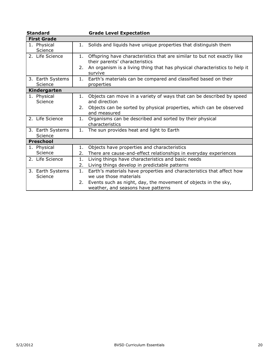| <b>Standard</b>             | <b>Grade Level Expectation</b>                                                                                  |  |  |  |
|-----------------------------|-----------------------------------------------------------------------------------------------------------------|--|--|--|
| <b>First Grade</b>          |                                                                                                                 |  |  |  |
| 1. Physical<br>Science      | 1. Solids and liquids have unique properties that distinguish them                                              |  |  |  |
| 2. Life Science             | Offspring have characteristics that are similar to but not exactly like<br>1.<br>their parents' characteristics |  |  |  |
|                             | An organism is a living thing that has physical characteristics to help it<br>2.<br>survive                     |  |  |  |
| 3. Earth Systems<br>Science | Earth's materials can be compared and classified based on their<br>1.<br>properties                             |  |  |  |
| Kindergarten                |                                                                                                                 |  |  |  |
| 1. Physical<br>Science      | Objects can move in a variety of ways that can be described by speed<br>1.<br>and direction                     |  |  |  |
|                             | Objects can be sorted by physical properties, which can be observed<br>2.<br>and measured                       |  |  |  |
| 2. Life Science             | Organisms can be described and sorted by their physical<br>1.<br>characteristics                                |  |  |  |
| 3. Earth Systems<br>Science | The sun provides heat and light to Earth<br>1.                                                                  |  |  |  |
| <b>Preschool</b>            |                                                                                                                 |  |  |  |
| 1. Physical                 | Objects have properties and characteristics<br>1.                                                               |  |  |  |
| Science                     | There are cause-and-effect relationships in everyday experiences<br>2.                                          |  |  |  |
| 2. Life Science             | Living things have characteristics and basic needs<br>1.                                                        |  |  |  |
|                             | 2.<br>Living things develop in predictable patterns                                                             |  |  |  |
| 3. Earth Systems<br>Science | Earth's materials have properties and characteristics that affect how<br>1.<br>we use those materials           |  |  |  |
|                             | Events such as night, day, the movement of objects in the sky,<br>2.<br>weather, and seasons have patterns      |  |  |  |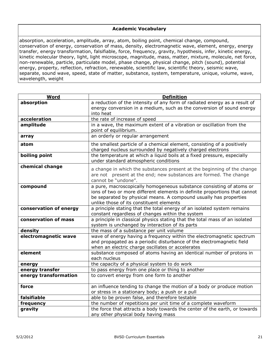#### **Academic Vocabulary**

absorption, acceleration, amplitude, array, atom, boiling point, chemical change, compound, conservation of energy, conservation of mass, density, electromagnetic wave, element, energy, energy transfer, energy transformation, falsifiable, force, frequency, gravity, hypothesis, infer, kinetic energy, kinetic molecular theory, light, light microscope, magnitude, mass, matter, mixture, molecule, net force, non-renewable, particle, particulate model, phase change, physical change, pitch (sound), potential energy, property, reflection, refraction, renewable, scientific law, scientific theory, seismic wave, separate, sound wave, speed, state of matter, substance, system, temperature, unique, volume, wave, wavelength, weight

| Word                   | <b>Definition</b>                                                                                                                                                                                                                                                   |
|------------------------|---------------------------------------------------------------------------------------------------------------------------------------------------------------------------------------------------------------------------------------------------------------------|
| absorption             | a reduction of the intensity of any form of radiated energy as a result of<br>energy conversion in a medium, such as the conversion of sound energy<br>into heat                                                                                                    |
| acceleration           | the rate of increase of speed                                                                                                                                                                                                                                       |
| amplitude              | in a wave, the maximum extent of a vibration or oscillation from the<br>point of equilibrium.                                                                                                                                                                       |
| array                  | an orderly or regular arrangement                                                                                                                                                                                                                                   |
| atom                   | the smallest particle of a chemical element, consisting of a positively<br>charged nucleus surrounded by negatively charged electrons                                                                                                                               |
| boiling point          | the temperature at which a liquid boils at a fixed pressure, especially<br>under standard atmospheric conditions                                                                                                                                                    |
| chemical change        | a change in which the substances present at the beginning of the change<br>are not present at the end; new substances are formed. The change<br>cannot be "undone".                                                                                                 |
| compound               | a pure, macroscopically homogeneous substance consisting of atoms or<br>ions of two or more different elements in definite proportions that cannot<br>be separated by physical means. A compound usually has properties<br>unlike those of its constituent elements |
| conservation of energy | a principle stating that the total energy of an isolated system remains<br>constant regardless of changes within the system                                                                                                                                         |
| conservation of mass   | a principle in classical physics stating that the total mass of an isolated<br>system is unchanged by interaction of its parts                                                                                                                                      |
| density                | the mass of a substance per unit volume                                                                                                                                                                                                                             |
| electromagnetic wave   | wave of energy having a frequency within the electromagnetic spectrum<br>and propagated as a periodic disturbance of the electromagnetic field<br>when an electric charge oscillates or accelerates                                                                 |
| element                | substance composed of atoms having an identical number of protons in<br>each nucleus                                                                                                                                                                                |
| energy                 | the capacity of a physical system to do work                                                                                                                                                                                                                        |
| energy transfer        | to pass energy from one place or thing to another                                                                                                                                                                                                                   |
| energy transformation  | to convert energy from one form to another                                                                                                                                                                                                                          |
| force                  | an influence tending to change the motion of a body or produce motion<br>or stress in a stationary body; a push or a pull                                                                                                                                           |
| falsifiable            | able to be proven false, and therefore testable                                                                                                                                                                                                                     |
| frequency              | the number of repetitions per unit time of a complete waveform                                                                                                                                                                                                      |
| gravity                | the force that attracts a body towards the center of the earth, or towards<br>any other physical body having mass                                                                                                                                                   |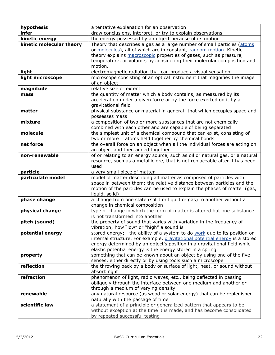| hypothesis               | a tentative explanation for an observation                                                                                                                                                                                                                                                                |  |  |  |  |
|--------------------------|-----------------------------------------------------------------------------------------------------------------------------------------------------------------------------------------------------------------------------------------------------------------------------------------------------------|--|--|--|--|
| infer                    | draw conclusions, interpret, or try to explain observations                                                                                                                                                                                                                                               |  |  |  |  |
| kinetic energy           | the energy possessed by an object because of its motion                                                                                                                                                                                                                                                   |  |  |  |  |
| kinetic molecular theory | Theory that describes a gas as a large number of small particles (atoms<br>or molecules), all of which are in constant, random motion. Kinetic<br>theory explains macroscopic properties of gases, such as pressure,<br>temperature, or volume, by considering their molecular composition and<br>motion. |  |  |  |  |
| light                    | electromagnetic radiation that can produce a visual sensation                                                                                                                                                                                                                                             |  |  |  |  |
| light microscope         | microscope consisting of an optical instrument that magnifies the image<br>of an object                                                                                                                                                                                                                   |  |  |  |  |
| magnitude                | relative size or extent                                                                                                                                                                                                                                                                                   |  |  |  |  |
| mass                     | the quantity of matter which a body contains, as measured by its<br>acceleration under a given force or by the force exerted on it by a<br>gravitational field                                                                                                                                            |  |  |  |  |
| matter                   | physical substance or material in general; that which occupies space and<br>possesses mass                                                                                                                                                                                                                |  |  |  |  |
| mixture                  | a composition of two or more substances that are not chemically<br>combined with each other and are capable of being separated                                                                                                                                                                            |  |  |  |  |
| molecule                 | the simplest unit of a chemical compound that can exist, consisting of<br>two or more atoms held together by chemical bonds                                                                                                                                                                               |  |  |  |  |
| net force                | the overall force on an object when all the individual forces are acting on<br>an object and then added together                                                                                                                                                                                          |  |  |  |  |
| non-renewable            | of or relating to an energy source, such as oil or natural gas, or a natural<br>resource, such as a metallic ore, that is not replaceable after it has been<br>used                                                                                                                                       |  |  |  |  |
| particle                 | a very small piece of matter                                                                                                                                                                                                                                                                              |  |  |  |  |
| particulate model        | model of matter describing all matter as composed of particles with<br>space in between them; the relative distance between particles and the<br>motion of the particles can be used to explain the phases of matter (gas,<br>liquid, solid)                                                              |  |  |  |  |
| phase change             | a change from one state (solid or liquid or gas) to another without a<br>change in chemical composition                                                                                                                                                                                                   |  |  |  |  |
| physical change          | type of change in which the form of matter is altered but one substance<br>is not transformed into another                                                                                                                                                                                                |  |  |  |  |
| pitch (sound)            | the property of sound that varies with variation in the frequency of<br>vibration; how "low" or "high" a sound is                                                                                                                                                                                         |  |  |  |  |
| potential energy         | stored energy; the ability of a system to do work due to its position or<br>internal structure. For example, gravitational potential energy is a stored<br>energy determined by an object's position in a gravitational field while<br>elastic potential energy is the energy stored in a spring.         |  |  |  |  |
| property                 | something that can be known about an object by using one of the five<br>senses, either directly or by using tools such a microscope                                                                                                                                                                       |  |  |  |  |
| reflection               | the throwing back by a body or surface of light, heat, or sound without<br>absorbing it                                                                                                                                                                                                                   |  |  |  |  |
| refraction               | phenomenon of light, radio waves, etc., being deflected in passing<br>obliquely through the interface between one medium and another or<br>through a medium of varying density                                                                                                                            |  |  |  |  |
| renewable                | any natural resource (as wood or solar energy) that can be replenished<br>naturally with the passage of time                                                                                                                                                                                              |  |  |  |  |
| scientific law           | a statement of a principle or generalized pattern that appears to be<br>without exception at the time it is made, and has become consolidated<br>by repeated successful testing                                                                                                                           |  |  |  |  |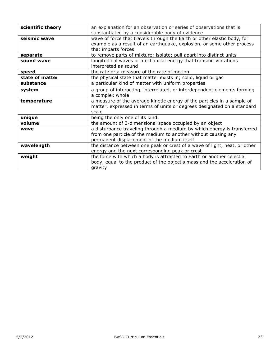| scientific theory | an explanation for an observation or series of observations that is<br>substantiated by a considerable body of evidence                                                                   |  |  |  |
|-------------------|-------------------------------------------------------------------------------------------------------------------------------------------------------------------------------------------|--|--|--|
| seismic wave      | wave of force that travels through the Earth or other elastic body, for<br>example as a result of an earthquake, explosion, or some other process<br>that imparts forces                  |  |  |  |
| separate          | to remove parts of mixture; isolate; pull apart into distinct units                                                                                                                       |  |  |  |
| sound wave        | longitudinal waves of mechanical energy that transmit vibrations<br>interpreted as sound                                                                                                  |  |  |  |
| speed             | the rate or a measure of the rate of motion                                                                                                                                               |  |  |  |
| state of matter   | the physical state that matter exists in; solid, liquid or gas                                                                                                                            |  |  |  |
| substance         | a particular kind of matter with uniform properties                                                                                                                                       |  |  |  |
| system            | a group of interacting, interrelated, or interdependent elements forming<br>a complex whole                                                                                               |  |  |  |
| temperature       | a measure of the average kinetic energy of the particles in a sample of<br>matter, expressed in terms of units or degrees designated on a standard<br>scale                               |  |  |  |
| unique            | being the only one of its kind:                                                                                                                                                           |  |  |  |
| volume            | the amount of 3-dimensional space occupied by an object                                                                                                                                   |  |  |  |
| wave              | a disturbance traveling through a medium by which energy is transferred<br>from one particle of the medium to another without causing any<br>permanent displacement of the medium itself. |  |  |  |
| wavelength        | the distance between one peak or crest of a wave of light, heat, or other<br>energy and the next corresponding peak or crest                                                              |  |  |  |
| weight            | the force with which a body is attracted to Earth or another celestial<br>body, equal to the product of the object's mass and the acceleration of<br>gravity                              |  |  |  |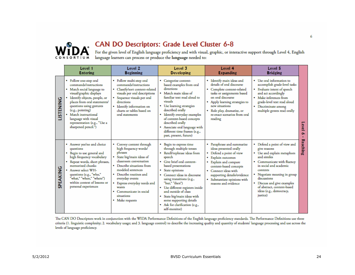

# CAN DO Descriptors: Grade Level Cluster 6-8

For the given level of English language proficiency and with visual, graphic, or interactive support through Level 4, English<br>language learners can process or produce the **language** needed to:

|                  | Level 1<br><b>Entering</b>                                                                                                                                                                                                                                                                                                     | Level <sub>2</sub><br><b>Beginning</b>                                                                                                                                                                                                                                                                              | Level 3<br><b>Developing</b>                                                                                                                                                                                                                                                                                                                                                                                                | Level 4<br><b>Expanding</b>                                                                                                                                                                                                                                            | Level 5<br><b>Bridging</b>                                                                                                                                                                                                                                                                                        |                 |
|------------------|--------------------------------------------------------------------------------------------------------------------------------------------------------------------------------------------------------------------------------------------------------------------------------------------------------------------------------|---------------------------------------------------------------------------------------------------------------------------------------------------------------------------------------------------------------------------------------------------------------------------------------------------------------------|-----------------------------------------------------------------------------------------------------------------------------------------------------------------------------------------------------------------------------------------------------------------------------------------------------------------------------------------------------------------------------------------------------------------------------|------------------------------------------------------------------------------------------------------------------------------------------------------------------------------------------------------------------------------------------------------------------------|-------------------------------------------------------------------------------------------------------------------------------------------------------------------------------------------------------------------------------------------------------------------------------------------------------------------|-----------------|
| <b>LISTENING</b> | • Follow one-step oral<br>commands/instructions<br>• Match social language to<br>visual/graphic displays<br>Identify objects, people, or<br>places from oral statements/<br>questions using gestures<br>(e.g., pointing)<br>Match instructional<br>language with visual<br>representation (e.g., "Use a<br>sharpened pencil.") | · Follow multi-step oral<br>commands/instructions<br>• Classify/sort content-related<br>visuals per oral descriptions<br>Sequence visuals per oral<br>directions<br>· Identify information on<br>charts or tables based on<br>oral statements                                                                       | • Categorize content-<br>based examples from oral<br>directions<br>• Match main ideas of<br>familiar text read aloud to<br>visuals<br>• Use learning strategies<br>described orally<br>• Identify everyday examples<br>of content-based concepts<br>described orally<br>• Associate oral language with<br>different time frames (e.g.,<br>past, present, future)                                                            | · Identify main ideas and<br>details of oral discourse<br>• Complete content-related<br>tasks or assignments based<br>on oral discourse<br>• Apply learning strategies to<br>new situations<br>• Role play, dramatize, or<br>re-enact scenarios from oral<br>reading   | • Use oral information to<br>accomplish grade-level tasks<br>• Evaluate intent of speech<br>and act accordingly<br>• Make inferences from<br>grade-level text read aloud<br>• Discriminate among<br>multiple genres read orally                                                                                   | evel            |
| <b>SPEAKING</b>  | • Answer yes/no and choice<br>questions<br>• Begin to use general and<br>high frequency vocabulary<br>Repeat words, short phrases,<br>memorized chunks<br>Answer select WH-<br>questions (e.g., "who,"<br>"what," "when," "where")<br>within context of lessons or<br>personal experiences                                     | • Convey content through<br>high frequency words/<br>phrases<br>State big/main ideas of<br>classroom conversation<br>• Describe situations from<br>modeled sentences<br>• Describe routines and<br>everyday events<br>Express everyday needs and<br>wants<br>Communicate in social<br>situations<br>• Make requests | Begin to express time<br>٠<br>through multiple tenses<br>• Retell/rephrase ideas from<br>speech<br>• Give brief oral content-<br>based presentations<br>State opinions<br>Connect ideas in discourse<br>using transitions (e.g.,<br>"but," "then")<br>· Use different registers inside<br>and outside of class<br>• State big/main ideas with<br>some supporting details<br>• Ask for clarification (e.g.,<br>self-monitor) | • Paraphrase and summarize<br>ideas presented orally<br>• Defend a point of view<br>Explain outcomes<br>• Explain and compare<br>content-based concepts<br>• Connect ideas with<br>supporting details/evidence<br>· Substantiate opinions with<br>reasons and evidence | • Defend a point of view and<br>give reasons<br>• Use and explain metaphors<br>and similes<br>• Communicate with fluency<br>in social and academic<br>contexts<br>• Negotiate meaning in group<br>discussions<br>• Discuss and give examples<br>of abstract, content-based<br>ideas (e.g., democracy,<br>justice) | <b>Reaching</b> |

The CAN DO Descriptors work in conjunction with the WIDA Performance Definitions of the English language proficiency standards. The Performance Definitions use three criteria (1. linguistic complexity; 2. vocabulary usage; and 3. language control) to describe the increasing quality and quantity of students' language processing and use across the levels of language proficiency.